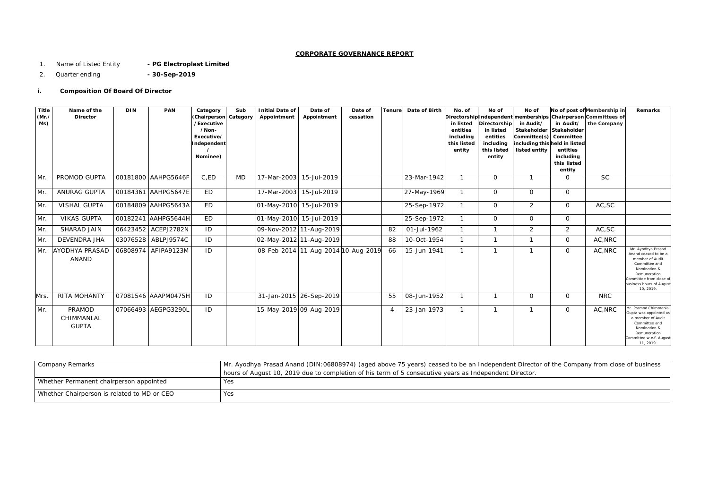# **CORPORATE GOVERNANCE REPORT**

- 1. Name of Listed Entity **- PG Electroplast Limited**
- 2. Quarter ending **- 30-Sep-2019**

# **i. Composition Of Board Of Director**

| Company Remarks                             | Mr. Ayodhya Prasad Anand (DIN: 06808974) (aged above 75 years) ceased to be an Independent Directe     |
|---------------------------------------------|--------------------------------------------------------------------------------------------------------|
|                                             | hours of August 10, 2019 due to completion of his term of 5 consecutive years as Independent Director. |
| Whether Permanent chairperson appointed     | Yes                                                                                                    |
| Whether Chairperson is related to MD or CEO | Yes                                                                                                    |

ctor of the Company from close of business

| <b>Title</b><br>(Mr.<br>Ms) | Name of the<br><b>Director</b>              | <b>DIN</b> | <b>PAN</b>          | Category<br>(Chairperson<br>/Executive<br>/Non-<br>Executive/<br>Independent<br>Nominee) | Sub<br>Category | <b>Initial Date of</b><br>Appointment | Date of<br>Appointment              | Date of<br>cessation | <b>Tenure</b> | Date of Birth | No. of<br>in listed<br>entities<br>including<br>this listed<br>entity | No of<br>Directorship<br>in listed<br>entities<br>including<br>this listed<br>entity | No of<br>in Audit/<br>Stakeholder<br>Committee(s) Committee<br>including this held in listed<br>listed entity | in Audit/<br>Stakeholder<br>entities<br>including<br>this listed<br>entity | No of post of Membership in<br>Directorship Independent   memberships   Chairperson   Committees of<br>the Company | Remarks                                                                                                                                                                          |
|-----------------------------|---------------------------------------------|------------|---------------------|------------------------------------------------------------------------------------------|-----------------|---------------------------------------|-------------------------------------|----------------------|---------------|---------------|-----------------------------------------------------------------------|--------------------------------------------------------------------------------------|---------------------------------------------------------------------------------------------------------------|----------------------------------------------------------------------------|--------------------------------------------------------------------------------------------------------------------|----------------------------------------------------------------------------------------------------------------------------------------------------------------------------------|
| Mr.                         | PROMOD GUPTA                                |            | 00181800 AAHPG5646F | C,ED                                                                                     | MD              | 17-Mar-2003                           | 15-Jul-2019                         |                      |               | 23-Mar-1942   |                                                                       | 0                                                                                    |                                                                                                               | O                                                                          | <b>SC</b>                                                                                                          |                                                                                                                                                                                  |
| Mr.                         | ANURAG GUPTA                                |            | 00184361 AAHPG5647E | <b>ED</b>                                                                                |                 |                                       | 17-Mar-2003 15-Jul-2019             |                      |               | 27-May-1969   | $\mathbf{1}$                                                          | $\mathbf{O}$                                                                         | $\mathsf{O}$                                                                                                  | $\overline{0}$                                                             |                                                                                                                    |                                                                                                                                                                                  |
| Mr.                         | <b>VISHAL GUPTA</b>                         |            | 00184809 AAHPG5643A | ED                                                                                       |                 |                                       | 01-May-2010 15-Jul-2019             |                      |               | 25-Sep-1972   | $\mathbf{1}$                                                          | $\overline{O}$                                                                       | $\overline{2}$                                                                                                | $\mathbf 0$                                                                | AC,SC                                                                                                              |                                                                                                                                                                                  |
| Mr.                         | <b>VIKAS GUPTA</b>                          |            | 00182241 AAHPG5644H | ED                                                                                       |                 | 01-May-2010 15-Jul-2019               |                                     |                      |               | 25-Sep-1972   | $\mathbf{1}$                                                          | $\overline{O}$                                                                       | $\overline{O}$                                                                                                | $\mathbf 0$                                                                |                                                                                                                    |                                                                                                                                                                                  |
| Mr.                         | SHARAD JAIN                                 |            | 06423452 ACEPJ2782N | ID                                                                                       |                 |                                       | 09-Nov-2012 11-Aug-2019             |                      | 82            | 01-Jul-1962   |                                                                       |                                                                                      | $\overline{2}$                                                                                                | 2                                                                          | AC, SC                                                                                                             |                                                                                                                                                                                  |
| Mr.                         | <b>DEVENDRA JHA</b>                         |            | 03076528 ABLPJ9574C | ID                                                                                       |                 |                                       | 02-May-2012 11-Aug-2019             |                      | 88            | 10-Oct-1954   | $\mathbf{1}$                                                          | $\mathbf{1}$                                                                         | -1                                                                                                            | $\mathbf{O}$                                                               | AC, NRC                                                                                                            |                                                                                                                                                                                  |
|                             | Mr. AYODHYA PRASAD<br>ANAND                 |            | 06808974 AFIPA9123M | ID                                                                                       |                 |                                       | 08-Feb-2014 11-Aug-2014 10-Aug-2019 |                      | 66            | 15-Jun-1941   | $\mathbf{1}$                                                          |                                                                                      | -1                                                                                                            | $\Omega$                                                                   | AC, NRC                                                                                                            | Mr. Ayodhya Prasad<br>Anand ceased to be a<br>member of Audit<br>Committee and<br>Nomination &<br>Remuneration<br>ammittee from close of<br>usiness hours of August<br>10, 2019. |
| Mrs.                        | RITA MOHANTY                                |            | 07081546 AAAPM0475H | ID                                                                                       |                 |                                       | 31-Jan-2015 26-Sep-2019             |                      | 55            | 08-Jun-1952   | $\mathbf{1}$                                                          |                                                                                      | $\overline{O}$                                                                                                | $\Omega$                                                                   | <b>NRC</b>                                                                                                         |                                                                                                                                                                                  |
| Mr.                         | <b>PRAMOD</b><br>CHIMMANLAL<br><b>GUPTA</b> |            | 07066493 AEGPG3290L | ID                                                                                       |                 |                                       | 15-May-2019 09-Aug-2019             |                      |               | 23-Jan-1973   | $\mathbf{1}$                                                          |                                                                                      |                                                                                                               | $\mathbf 0$                                                                | AC, NRC                                                                                                            | Ar. Pramod Chimmanlal<br>upta was appointed as<br>a member of Audit<br>Committee and<br>Nomination &<br>Remuneration<br>mmittee w.e.f. August<br>11, 2019.                       |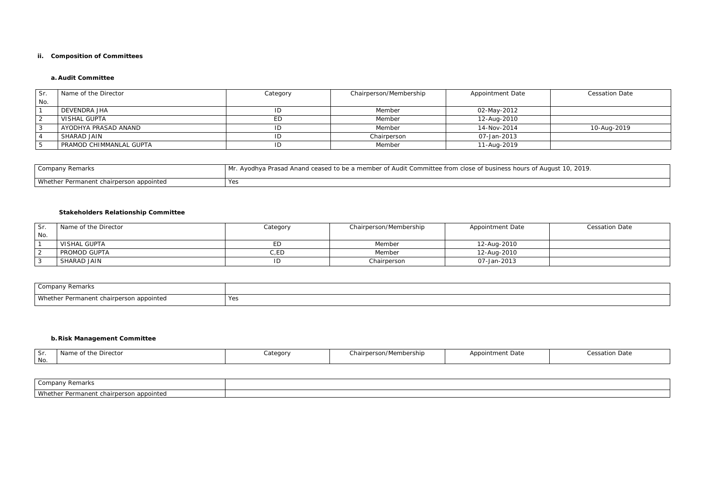### **ii. Composition of Committees**

## **a. Audit Committee**

| Sr.    | Name of the Director    | Category  | Chairperson/Membership | <b>Appointment Date</b> | <b>Cessation Date</b> |
|--------|-------------------------|-----------|------------------------|-------------------------|-----------------------|
| $N$ o. |                         |           |                        |                         |                       |
|        | <b>DEVENDRA JHA</b>     | ID        | Member                 | 02-May-2012             |                       |
|        | <b>VISHAL GUPTA</b>     | <b>ED</b> | Member                 | 12-Aug-2010             |                       |
|        | AYODHYA PRASAD ANAND    | ID        | Member                 | 14-Nov-2014             | 10-Aug-2019           |
|        | SHARAD JAIN             | ID        | Chairperson            | 07-Jan-2013             |                       |
|        | PRAMOD CHIMMANLAL GUPTA | ID        | Member                 | 11-Aug-2019             |                       |

| Company Remarks                         | Mr. Ayodhya Prasad Anand ceased to be a member of Audit Committee from close of business hours of August 10, 2019. |
|-----------------------------------------|--------------------------------------------------------------------------------------------------------------------|
| Whether Permanent chairperson appointed | Yes                                                                                                                |

# **Stakeholders Relationship Committee**

| Sr. | Name of the Director | Category | Chairperson/Membership | <b>Appointment Date</b> | <b>Cessation Date</b> |
|-----|----------------------|----------|------------------------|-------------------------|-----------------------|
| No. |                      |          |                        |                         |                       |
|     | <b>VISHAL GUPTA</b>  | ED       | Member                 | 12-Aug-2010             |                       |
|     | PROMOD GUPTA         | C,ED     | Member                 | 12-Aug-2010             |                       |
|     | SHARAD JAIN          | ID       | Chairperson            | 07-Jan-2013             |                       |

| Company Remarks                              |     |
|----------------------------------------------|-----|
| Wheth<br>her Permanent chairperson appointed | Yes |

# **b.Risk Management Committee**

| Sr<br>No. | Name of the Director | Category | Chairperson/Membership | <b>Appointment Date</b> | Cessation Date |
|-----------|----------------------|----------|------------------------|-------------------------|----------------|
|           |                      |          |                        |                         |                |

| Company L<br>∴ PemarkJi                                              |  |
|----------------------------------------------------------------------|--|
| Whether<br>Permanent<br>appointed<br>. chairper<br><b>JUL</b><br>. . |  |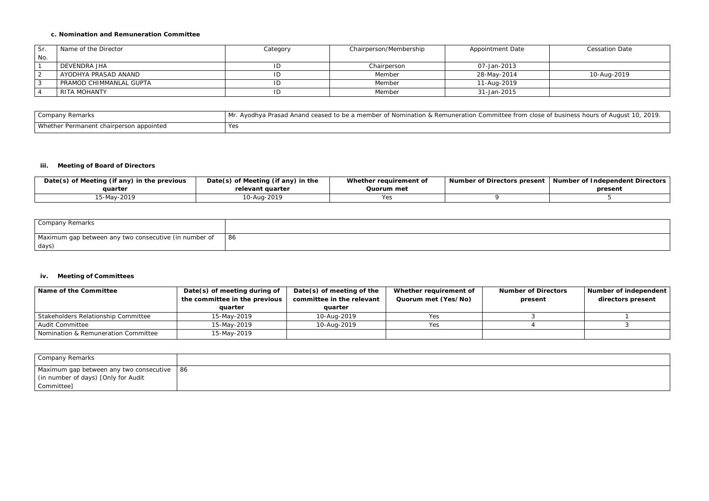### **c. Nomination and Remuneration Committee**

| Sr. | Name of the Director     | Category | Chairperson/Membership | <b>Appointment Date</b> | <b>Cessation Date</b> |
|-----|--------------------------|----------|------------------------|-------------------------|-----------------------|
| No. |                          |          |                        |                         |                       |
|     | DEVENDRA JHA             | ID       | Chairperson            | 07-Jan-2013             |                       |
|     | AYODHYA PRASAD ANAND     | ID       | Member                 | 28-May-2014             | 10-Aug-2019           |
|     | PRAMOD CHIMMANLAL GUPTA_ | ID       | Member                 | 11-Aug-2019             |                       |
|     | RITA MOHANTY             | ID       | Member                 | 31-Jan-2015             |                       |

| Company Remarks                         | . Ayodhya Prasad Anand ceased to be a member of Nomination & Remuneration Committee from clc<br>Mr. |
|-----------------------------------------|-----------------------------------------------------------------------------------------------------|
| Whether Permanent chairperson appointed | Yes                                                                                                 |

### **iii. Meeting of Board of Directors**

| Date(s) of Meeting (if any) in the previous | Date(s) of Meeting (if any) in the | Whether requirement of | <b>Number of Directors present</b> | Number of Independent Directors |
|---------------------------------------------|------------------------------------|------------------------|------------------------------------|---------------------------------|
| auarter                                     | relevant quarter                   | Quorum met             |                                    | present                         |
| 15-May-2019                                 | 10-Aug-2019                        | Yes                    |                                    |                                 |
|                                             |                                    |                        |                                    |                                 |
|                                             |                                    |                        |                                    |                                 |

| Company Remarks                                                |    |
|----------------------------------------------------------------|----|
| Maximum gap between any two consecutive (in number of<br>days) | 86 |

### **iv. Meeting of Committees**

| Name of the Committee               | Date(s) of meeting during of<br>the committee in the previous<br>auarter | Date(s) of meeting of the<br>committee in the relevant<br>quarter | Whether requirement of<br>Quorum met (Yes/No) | <b>Number of Directors</b><br>present | Number of independent<br>directors present |
|-------------------------------------|--------------------------------------------------------------------------|-------------------------------------------------------------------|-----------------------------------------------|---------------------------------------|--------------------------------------------|
| Stakeholders Relationship Committee | 15-May-2019                                                              | 10-Aug-2019                                                       | Yes                                           |                                       |                                            |
| Audit Committee                     | 15-May-2019                                                              | 10-Aug-2019                                                       | Yes                                           |                                       |                                            |
| Nomination & Remuneration Committee | 15-May-2019                                                              |                                                                   |                                               |                                       |                                            |

| Company Remarks                                  |  |
|--------------------------------------------------|--|
| Maximum gap between any two consecutive   86     |  |
| <sup>1</sup> (in number of days) [Only for Audit |  |
| Committee]                                       |  |

ose of business hours of August 10, 2019.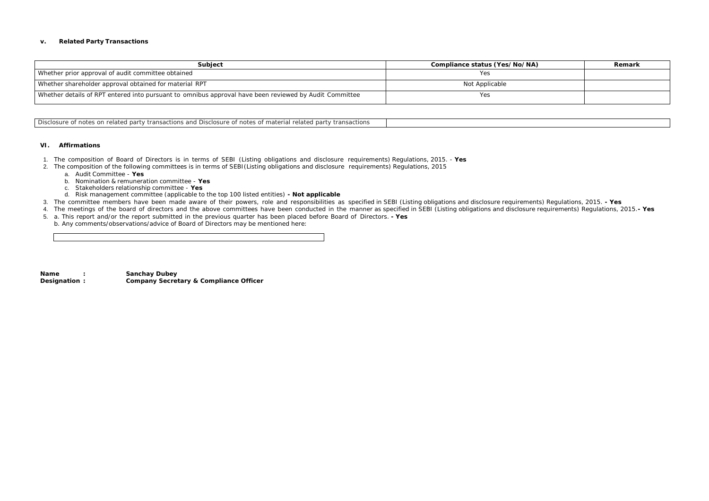#### **v. Related Party Transactions**

| Subject                                                                                                | Compliance status (Yes/No/NA) | Remark |
|--------------------------------------------------------------------------------------------------------|-------------------------------|--------|
| Whether prior approval of audit committee obtained                                                     | Yes                           |        |
| I Whether shareholder approval obtained for material RPT                                               | Not Applicable                |        |
| Whether details of RPT entered into pursuant to omnibus approval have been reviewed by Audit Committee | Yes                           |        |
|                                                                                                        |                               |        |

Disclosure of notes on related party transactions and Disclosure of notes of material related party transactions

### **VI. Affirmations**

- 1. The composition of Board of Directors is in terms of SEBI (Listing obligations and disclosure requirements) Regulations, 2015. **Yes**
- 2. The composition of the following committees is in terms of SEBI(Listing obligations and disclosure requirements) Regulations, 2015
	- a. Audit Committee **Yes**
	- b. Nomination & remuneration committee **Yes**
	- c. Stakeholders relationship committee **Yes**
	- d. Risk management committee (applicable to the top 100 listed entities) **- Not applicable**
- 3. The committee members have been made aware of their powers, role and responsibilities as specified in SEBI (Listing obligations and disclosure requirements) Regulations, 2015. **- Yes**
- 4. The meetings of the board of directors and the above committees have been conducted in the manner as specified in SEBI (Listing obligations and disclosure requirements) Regulations, 2015.**- Yes**
- 5. a. This report and/or the report submitted in the previous quarter has been placed before Board of Directors. **- Yes**
- b. Any comments/observations/advice of Board of Directors may be mentioned here:

**Name : Sanchay Dubey Designation : Company Secretary & Compliance Officer**